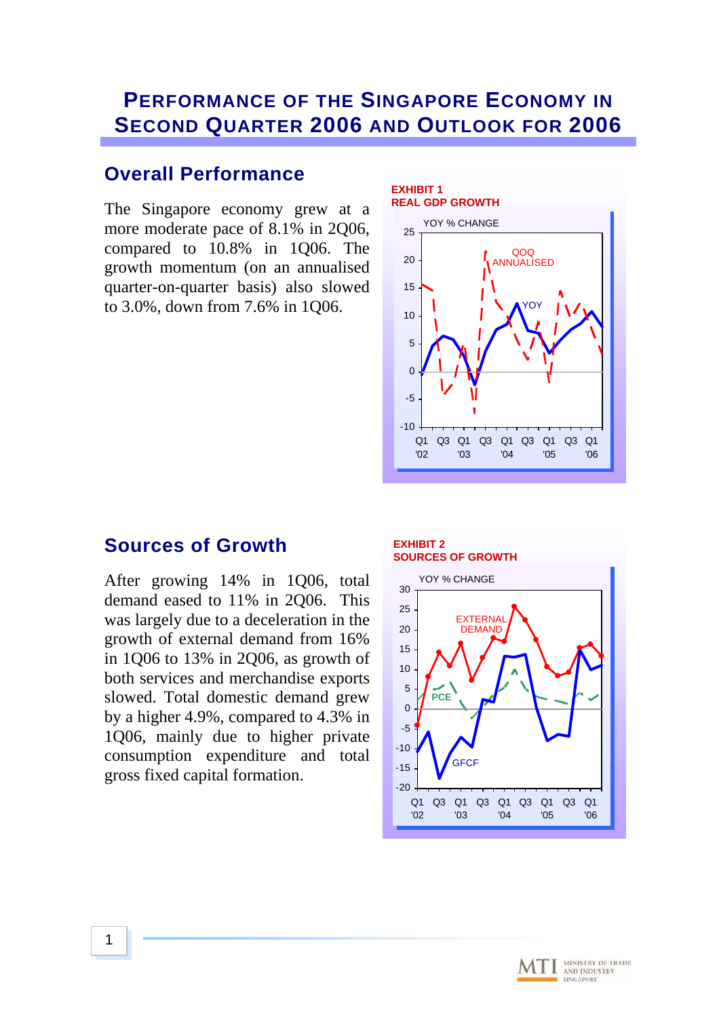# **PERFORMANCE OF THE SINGAPORE ECONOMY IN SECOND QUARTER 2006 AND OUTLOOK FOR 2006**

## **Overall Performance**

The Singapore economy grew at a more moderate pace of 8.1% in 2Q06, compared to 10.8% in 1Q06. The growth momentum (on an annualised quarter-on-quarter basis) also slowed to 3.0%, down from 7.6% in 1Q06.



## **Sources of Growth**

After growing 14% in 1Q06, total demand eased to 11% in 2Q06. This was largely due to a deceleration in the growth of external demand from 16% in 1Q06 to 13% in 2Q06, as growth of both services and merchandise exports slowed. Total domestic demand grew by a higher 4.9%, compared to 4.3% in 1Q06, mainly due to higher private consumption expenditure and total gross fixed capital formation.

### **EXHIBIT 2 SOURCES OF GROWTH**



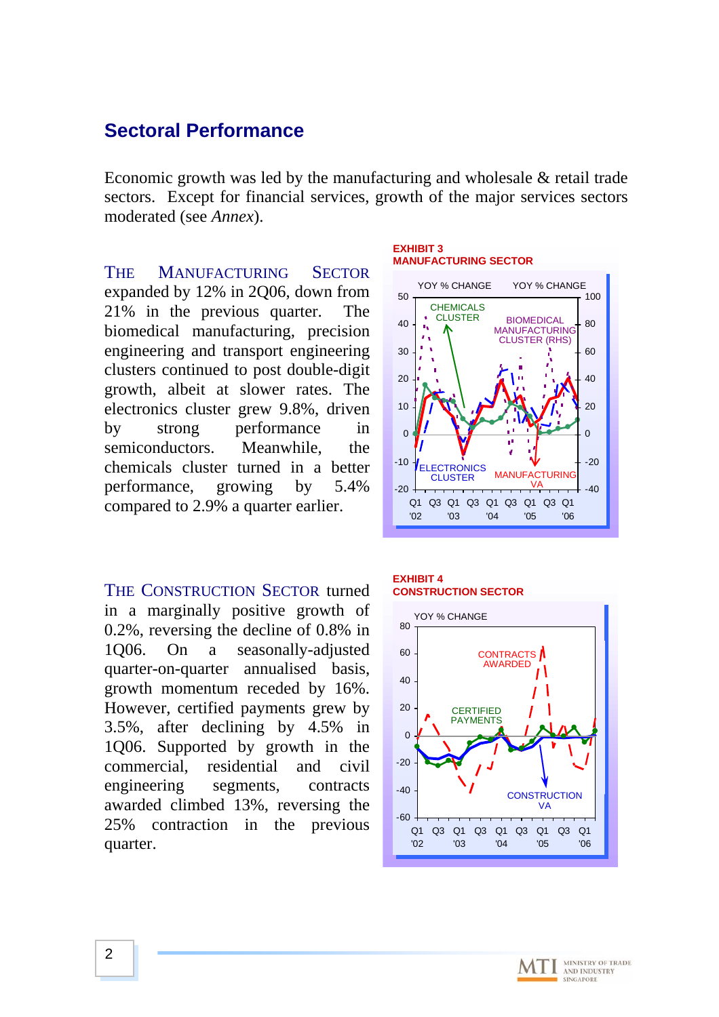### **Sectoral Performance**

Economic growth was led by the manufacturing and wholesale & retail trade sectors. Except for financial services, growth of the major services sectors moderated (see *Annex*).

THE MANUFACTURING SECTOR expanded by 12% in 2Q06, down from 21% in the previous quarter. The biomedical manufacturing, precision engineering and transport engineering clusters continued to post double-digit growth, albeit at slower rates. The electronics cluster grew 9.8%, driven by strong performance in semiconductors. Meanwhile, the chemicals cluster turned in a better performance, growing by 5.4% compared to 2.9% a quarter earlier.

THE CONSTRUCTION SECTOR turned in a marginally positive growth of 0.2%, reversing the decline of 0.8% in 1Q06. On a seasonally-adjusted quarter-on-quarter annualised basis, growth momentum receded by 16%. However, certified payments grew by 3.5%, after declining by 4.5% in 1Q06. Supported by growth in the commercial, residential and civil engineering segments, contracts awarded climbed 13%, reversing the 25% contraction in the previous quarter.

#### **EXHIBIT 3 MANUFACTURING SECTOR**



#### **EXHIBIT 4 CONSTRUCTION SECTOR**



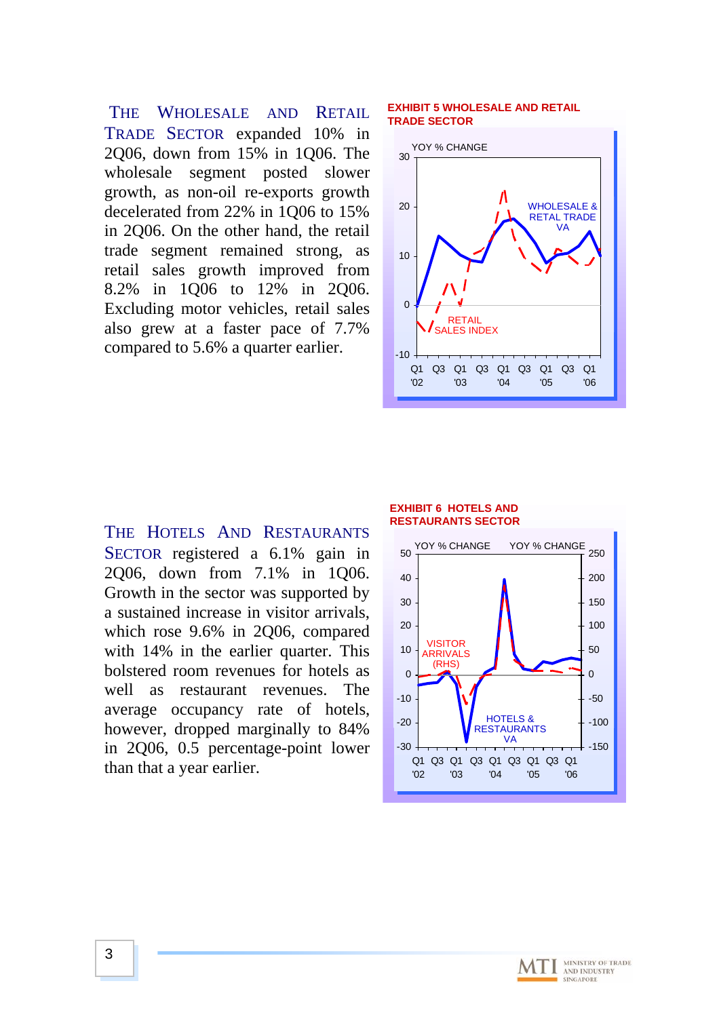THE WHOLESALE AND RETAIL TRADE SECTOR expanded 10% in 2Q06, down from 15% in 1Q06. The wholesale segment posted slower growth, as non-oil re-exports growth decelerated from 22% in 1Q06 to 15% in 2Q06. On the other hand, the retail trade segment remained strong, as retail sales growth improved from 8.2% in 1Q06 to 12% in 2Q06. Excluding motor vehicles, retail sales also grew at a faster pace of 7.7% compared to 5.6% a quarter earlier.

### **EXHIBIT 5 WHOLESALE AND RETAIL TRADE SECTOR**



THE HOTELS AND RESTAURANTS SECTOR registered a 6.1% gain in 2Q06, down from 7.1% in 1Q06. Growth in the sector was supported by a sustained increase in visitor arrivals, which rose 9.6% in 2Q06, compared with 14% in the earlier quarter. This bolstered room revenues for hotels as well as restaurant revenues. The average occupancy rate of hotels, however, dropped marginally to 84% in 2Q06, 0.5 percentage-point lower than that a year earlier.

#### **EXHIBIT 6 HOTELS AND RESTAURANTS SECTOR**



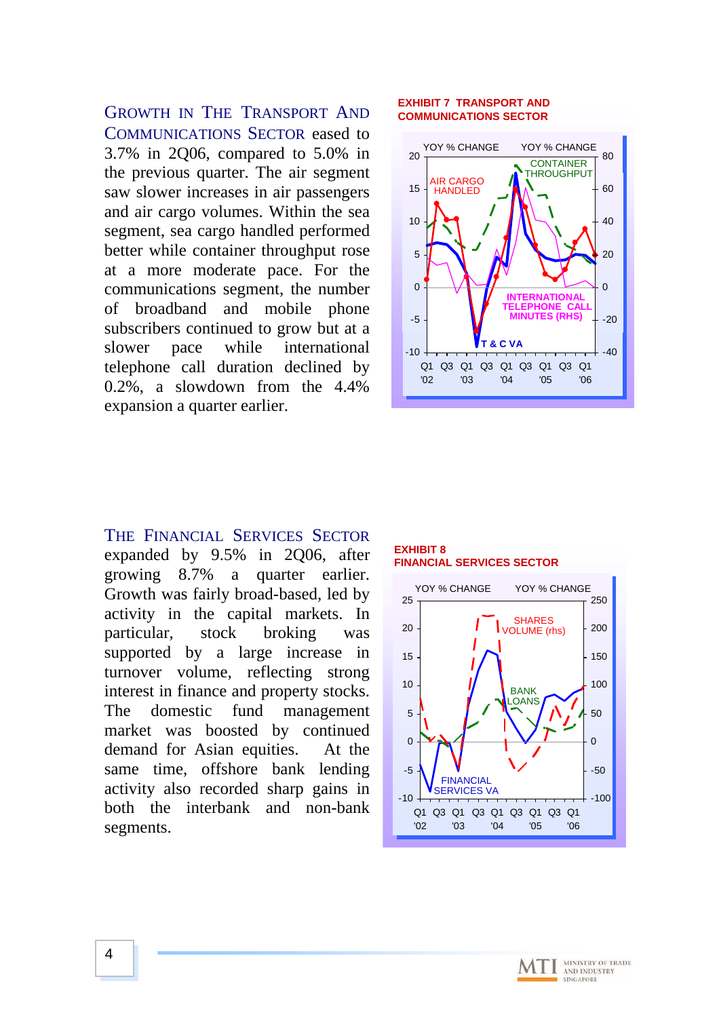GROWTH IN THE TRANSPORT AND COMMUNICATIONS SECTOR eased to 3.7% in 2Q06, compared to 5.0% in the previous quarter. The air segment saw slower increases in air passengers and air cargo volumes. Within the sea segment, sea cargo handled performed better while container throughput rose at a more moderate pace. For the communications segment, the number of broadband and mobile phone subscribers continued to grow but at a slower pace while international telephone call duration declined by 0.2%, a slowdown from the 4.4% expansion a quarter earlier.

#### **EXHIBIT 7 TRANSPORT AND COMMUNICATIONS SECTOR**



### THE FINANCIAL SERVICES SECTOR expanded by 9.5% in 2Q06, after growing 8.7% a quarter earlier. Growth was fairly broad-based, led by activity in the capital markets. In particular, stock broking was supported by a large increase in turnover volume, reflecting strong interest in finance and property stocks. The domestic fund management market was boosted by continued demand for Asian equities. At the same time, offshore bank lending activity also recorded sharp gains in both the interbank and non-bank segments.

### **EXHIBIT 8 FINANCIAL SERVICES SECTOR**



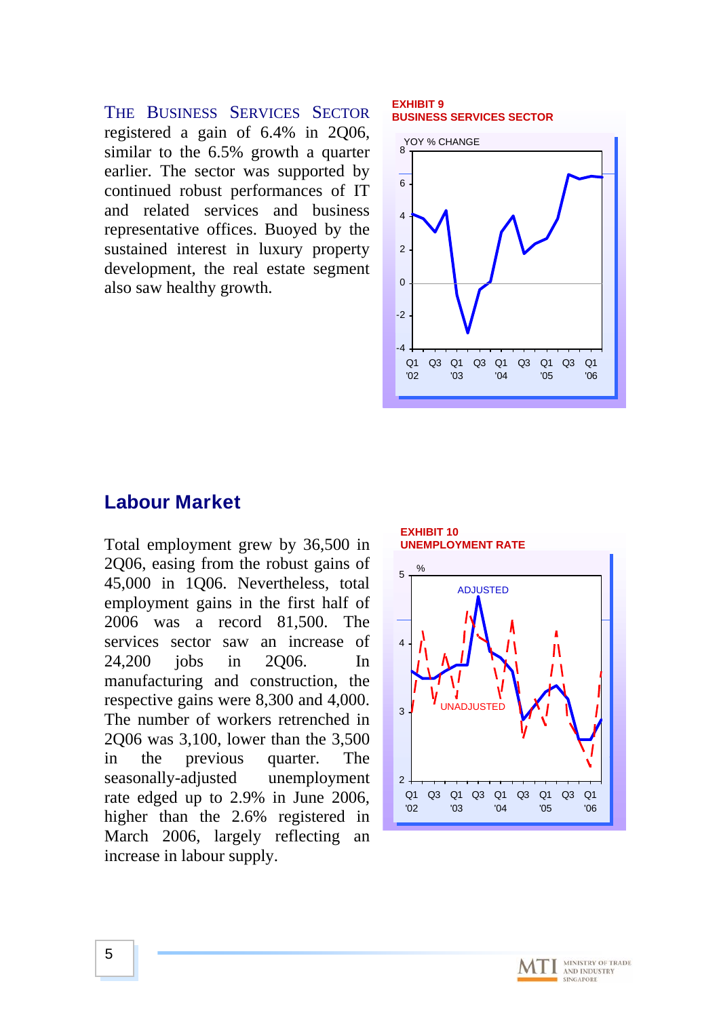THE BUSINESS SERVICES SECTOR registered a gain of 6.4% in 2Q06, similar to the 6.5% growth a quarter earlier. The sector was supported by continued robust performances of IT and related services and business representative offices. Buoyed by the sustained interest in luxury property development, the real estate segment also saw healthy growth.

### **EXHIBIT 9 BUSINESS SERVICES SECTOR**



## **Labour Market**

Total employment grew by 36,500 in 2Q06, easing from the robust gains of 45,000 in 1Q06. Nevertheless, total employment gains in the first half of 2006 was a record 81,500. The services sector saw an increase of 24,200 jobs in 2Q06. In manufacturing and construction, the respective gains were 8,300 and 4,000. The number of workers retrenched in 2Q06 was 3,100, lower than the 3,500 in the previous quarter. The seasonally-adjusted unemployment rate edged up to 2.9% in June 2006, higher than the 2.6% registered in March 2006, largely reflecting an increase in labour supply.



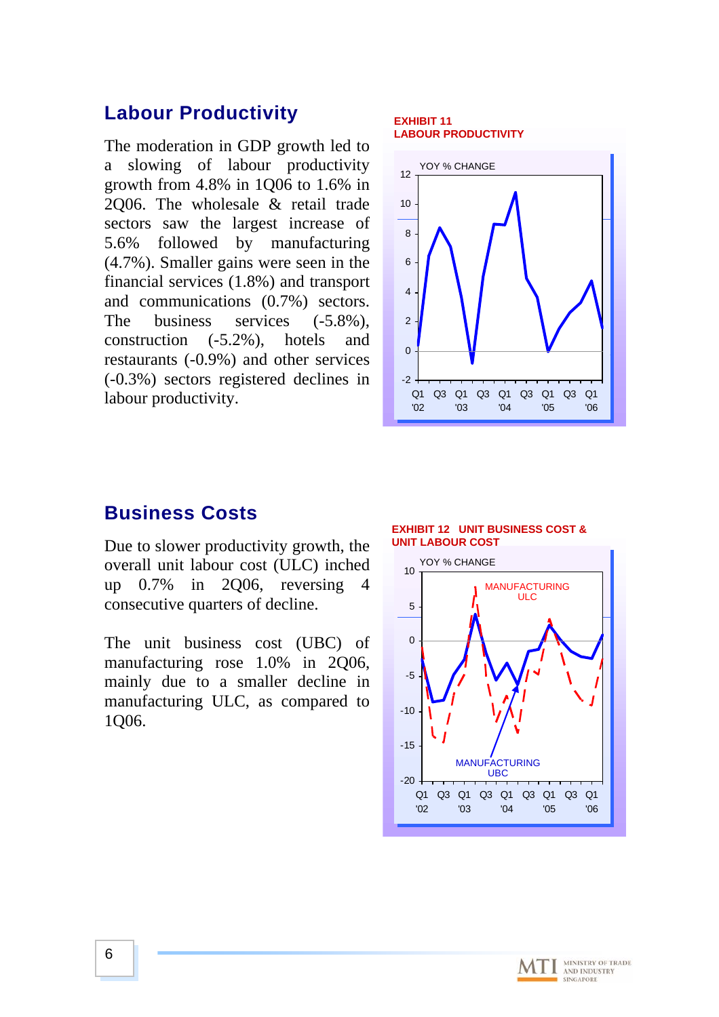## **Labour Productivity**

The moderation in GDP growth led to a slowing of labour productivity growth from 4.8% in 1Q06 to 1.6% in 2Q06. The wholesale & retail trade sectors saw the largest increase of 5.6% followed by manufacturing (4.7%). Smaller gains were seen in the financial services (1.8%) and transport and communications (0.7%) sectors. The business services  $(-5.8\%),$ construction (-5.2%), hotels and restaurants (-0.9%) and other services (-0.3%) sectors registered declines in labour productivity.

### **EXHIBIT 11 LABOUR PRODUCTIVITY**



## **Business Costs**

Due to slower productivity growth, the overall unit labour cost (ULC) inched up 0.7% in 2Q06, reversing 4 consecutive quarters of decline.

The unit business cost (UBC) of manufacturing rose 1.0% in 2Q06, mainly due to a smaller decline in manufacturing ULC, as compared to 1Q06.





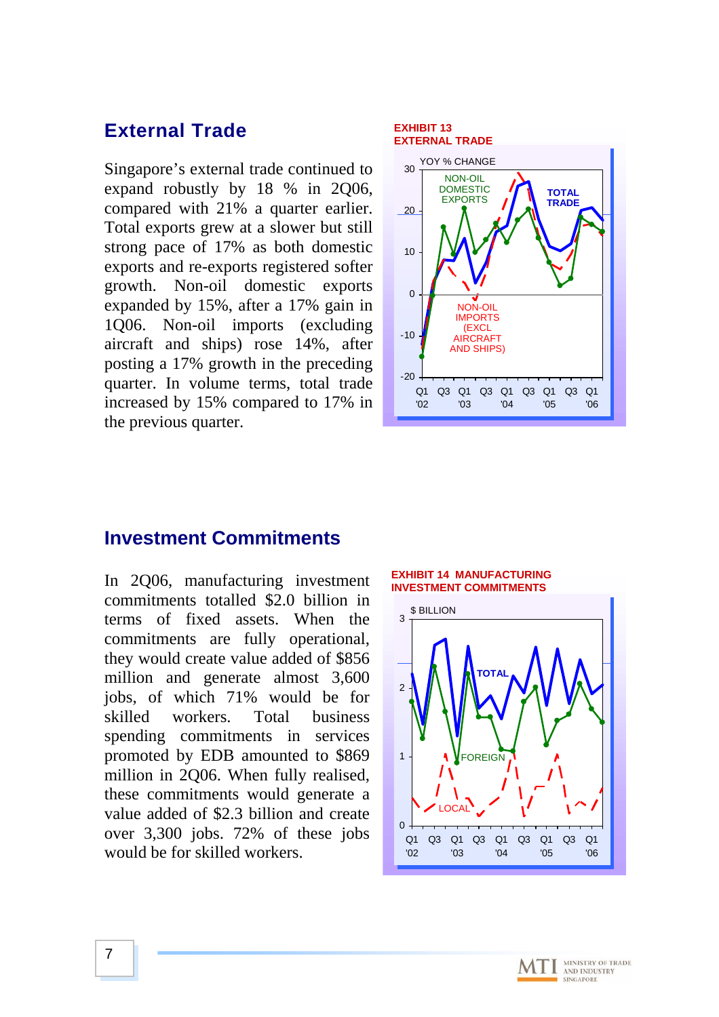## **External Trade**

Singapore's external trade continued to expand robustly by 18 % in 2Q06, compared with 21% a quarter earlier. Total exports grew at a slower but still strong pace of 17% as both domestic exports and re-exports registered softer growth. Non-oil domestic exports expanded by 15%, after a 17% gain in 1Q06. Non-oil imports (excluding aircraft and ships) rose 14%, after posting a 17% growth in the preceding quarter. In volume terms, total trade increased by 15% compared to 17% in the previous quarter.

#### **EXHIBIT 13 EXTERNAL TRADE** -20 -10  $\Omega$ 10 20 30 Q1 Q3 Q1 Q3 Q1 Q3 Q1 '02 '03 '04 '05 Q3 Q1 '06 NON-OIL DOMESTIC EXPORTS YOY % CHANGE **TOTAL TRADE** NON-OIL IMPORTS (EXCL **AIRCRAFT** AND SHIPS)

### **Investment Commitments**

In 2Q06, manufacturing investment commitments totalled \$2.0 billion in terms of fixed assets. When the commitments are fully operational, they would create value added of \$856 million and generate almost 3,600 jobs, of which 71% would be for skilled workers. Total business spending commitments in services promoted by EDB amounted to \$869 million in 2Q06. When fully realised, these commitments would generate a value added of \$2.3 billion and create over 3,300 jobs. 72% of these jobs would be for skilled workers.



'04

 $Q<sub>1</sub>$ '02

'03



'05

'06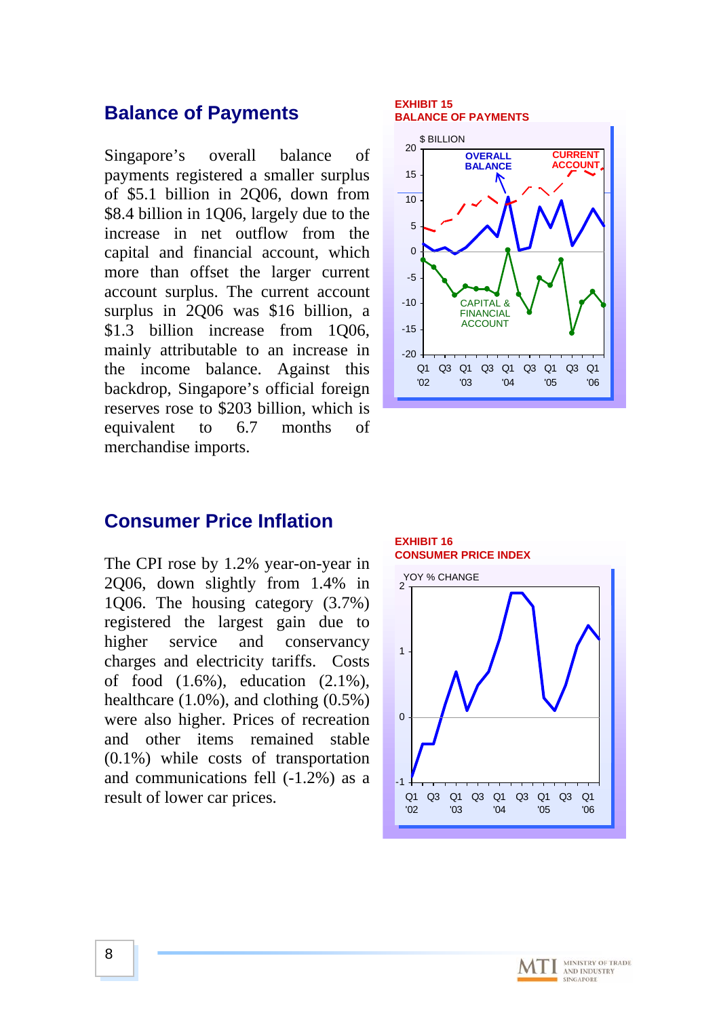### **Balance of Payments**

Singapore's overall balance of payments registered a smaller surplus of \$5.1 billion in 2Q06, down from \$8.4 billion in 1Q06, largely due to the increase in net outflow from the capital and financial account, which more than offset the larger current account surplus. The current account surplus in 2Q06 was \$16 billion, a \$1.3 billion increase from 1Q06, mainly attributable to an increase in the income balance. Against this backdrop, Singapore's official foreign reserves rose to \$203 billion, which is equivalent to 6.7 months of merchandise imports.

#### **EXHIBIT 15 BALANCE OF PAYMENTS**



### **Consumer Price Inflation**

The CPI rose by 1.2% year-on-year in 2Q06, down slightly from 1.4% in 1Q06. The housing category (3.7%) registered the largest gain due to higher service and conservancy charges and electricity tariffs. Costs of food (1.6%), education (2.1%), healthcare (1.0%), and clothing (0.5%) were also higher. Prices of recreation and other items remained stable (0.1%) while costs of transportation and communications fell (-1.2%) as a result of lower car prices.



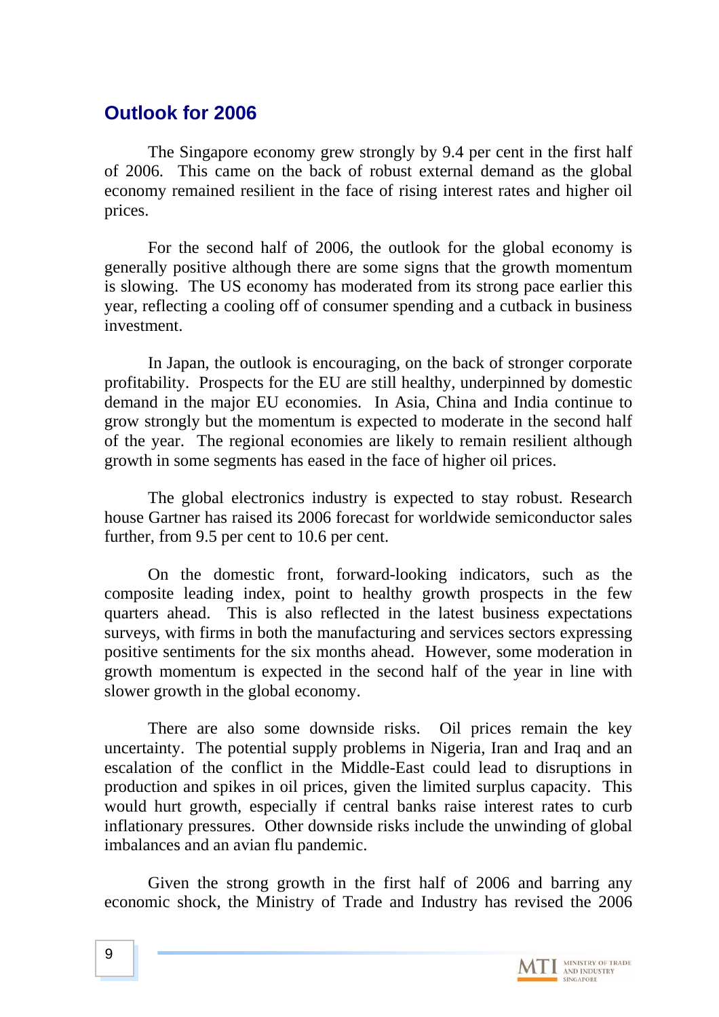## **Outlook for 2006**

The Singapore economy grew strongly by 9.4 per cent in the first half of 2006. This came on the back of robust external demand as the global economy remained resilient in the face of rising interest rates and higher oil prices.

For the second half of 2006, the outlook for the global economy is generally positive although there are some signs that the growth momentum is slowing. The US economy has moderated from its strong pace earlier this year, reflecting a cooling off of consumer spending and a cutback in business investment.

In Japan, the outlook is encouraging, on the back of stronger corporate profitability. Prospects for the EU are still healthy, underpinned by domestic demand in the major EU economies. In Asia, China and India continue to grow strongly but the momentum is expected to moderate in the second half of the year. The regional economies are likely to remain resilient although growth in some segments has eased in the face of higher oil prices.

The global electronics industry is expected to stay robust. Research house Gartner has raised its 2006 forecast for worldwide semiconductor sales further, from 9.5 per cent to 10.6 per cent.

On the domestic front, forward-looking indicators, such as the composite leading index, point to healthy growth prospects in the few quarters ahead. This is also reflected in the latest business expectations surveys, with firms in both the manufacturing and services sectors expressing positive sentiments for the six months ahead. However, some moderation in growth momentum is expected in the second half of the year in line with slower growth in the global economy.

There are also some downside risks. Oil prices remain the key uncertainty. The potential supply problems in Nigeria, Iran and Iraq and an escalation of the conflict in the Middle-East could lead to disruptions in production and spikes in oil prices, given the limited surplus capacity. This would hurt growth, especially if central banks raise interest rates to curb inflationary pressures. Other downside risks include the unwinding of global imbalances and an avian flu pandemic.

Given the strong growth in the first half of 2006 and barring any economic shock, the Ministry of Trade and Industry has revised the 2006

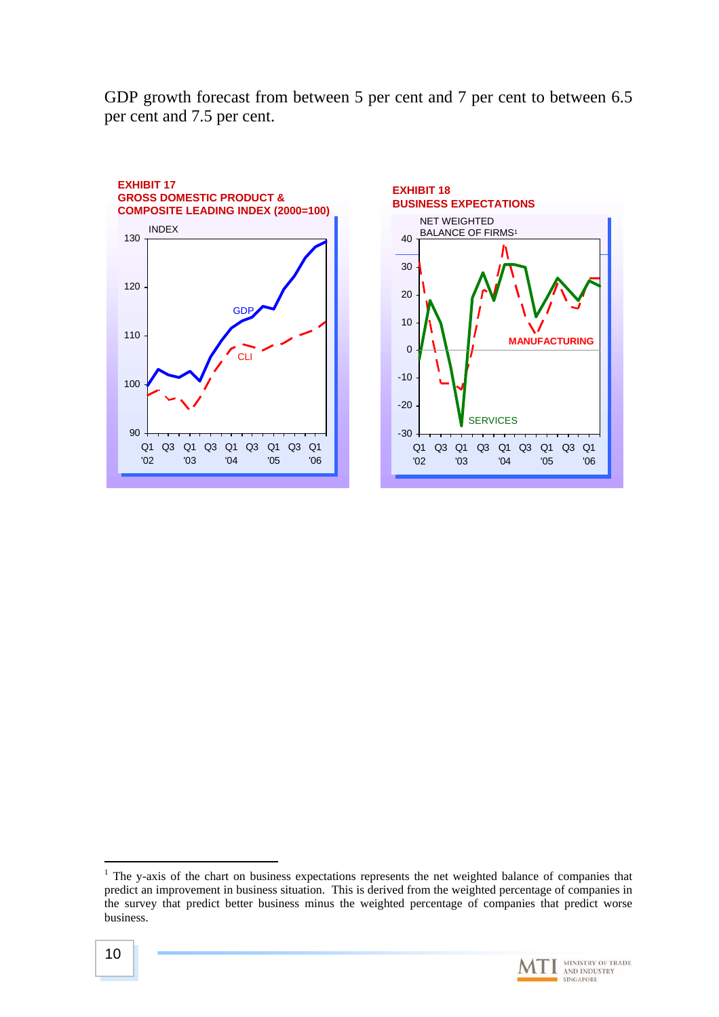GDP growth forecast from between 5 per cent and 7 per cent to between 6.5 per cent and 7.5 per cent.





<span id="page-9-0"></span> $<sup>1</sup>$  The y-axis of the chart on business expectations represents the net weighted balance of companies that</sup> predict an improvement in business situation. This is derived from the weighted percentage of companies in the survey that predict better business minus the weighted percentage of companies that predict worse business.



 $\overline{a}$